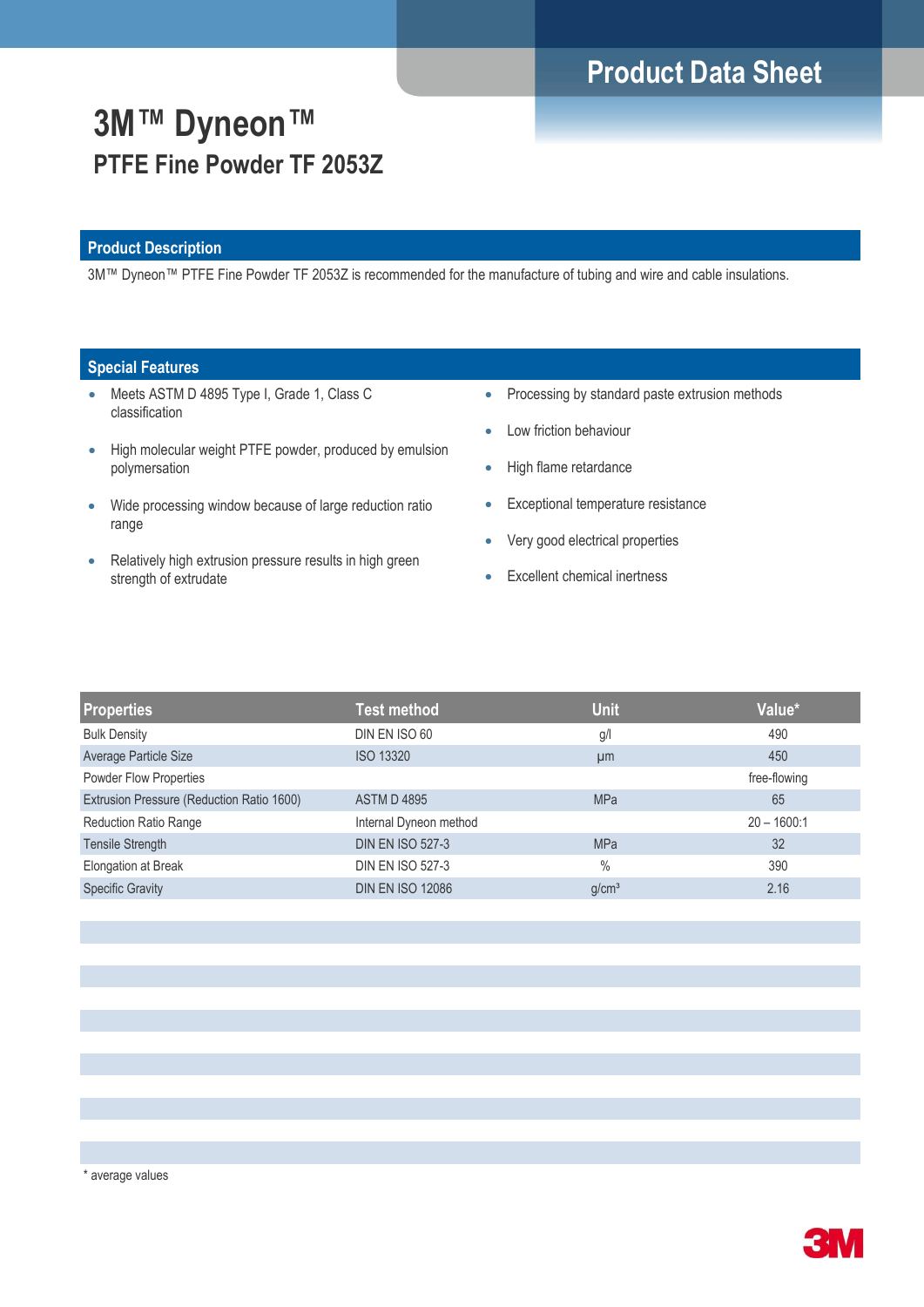# **Product Data Sheet**

# **3M™ Dyneon™ PTFE Fine Powder TF 2053Z**

### **Product Description**

3M™ Dyneon™ PTFE Fine Powder TF 2053Z is recommended for the manufacture of tubing and wire and cable insulations.

### **Special Features**

- Meets ASTM D 4895 Type I, Grade 1, Class C classification
- High molecular weight PTFE powder, produced by emulsion polymersation
- Wide processing window because of large reduction ratio range
- Relatively high extrusion pressure results in high green strength of extrudate
- Processing by standard paste extrusion methods
- Low friction behaviour
- High flame retardance
- **Exceptional temperature resistance**
- Very good electrical properties
- Excellent chemical inertness

| <b>Properties</b>                         | <b>Test method</b>      | <b>Unit</b>       | Value*        |
|-------------------------------------------|-------------------------|-------------------|---------------|
| <b>Bulk Density</b>                       | DIN EN ISO 60           | g/l               | 490           |
| Average Particle Size                     | <b>ISO 13320</b>        | µm                | 450           |
| <b>Powder Flow Properties</b>             |                         |                   | free-flowing  |
| Extrusion Pressure (Reduction Ratio 1600) | <b>ASTM D4895</b>       | <b>MPa</b>        | 65            |
| <b>Reduction Ratio Range</b>              | Internal Dyneon method  |                   | $20 - 1600:1$ |
| <b>Tensile Strength</b>                   | <b>DIN EN ISO 527-3</b> | <b>MPa</b>        | 32            |
| Elongation at Break                       | <b>DIN EN ISO 527-3</b> | $\frac{0}{0}$     | 390           |
| <b>Specific Gravity</b>                   | <b>DIN EN ISO 12086</b> | g/cm <sup>3</sup> | 2.16          |
|                                           |                         |                   |               |

\* average values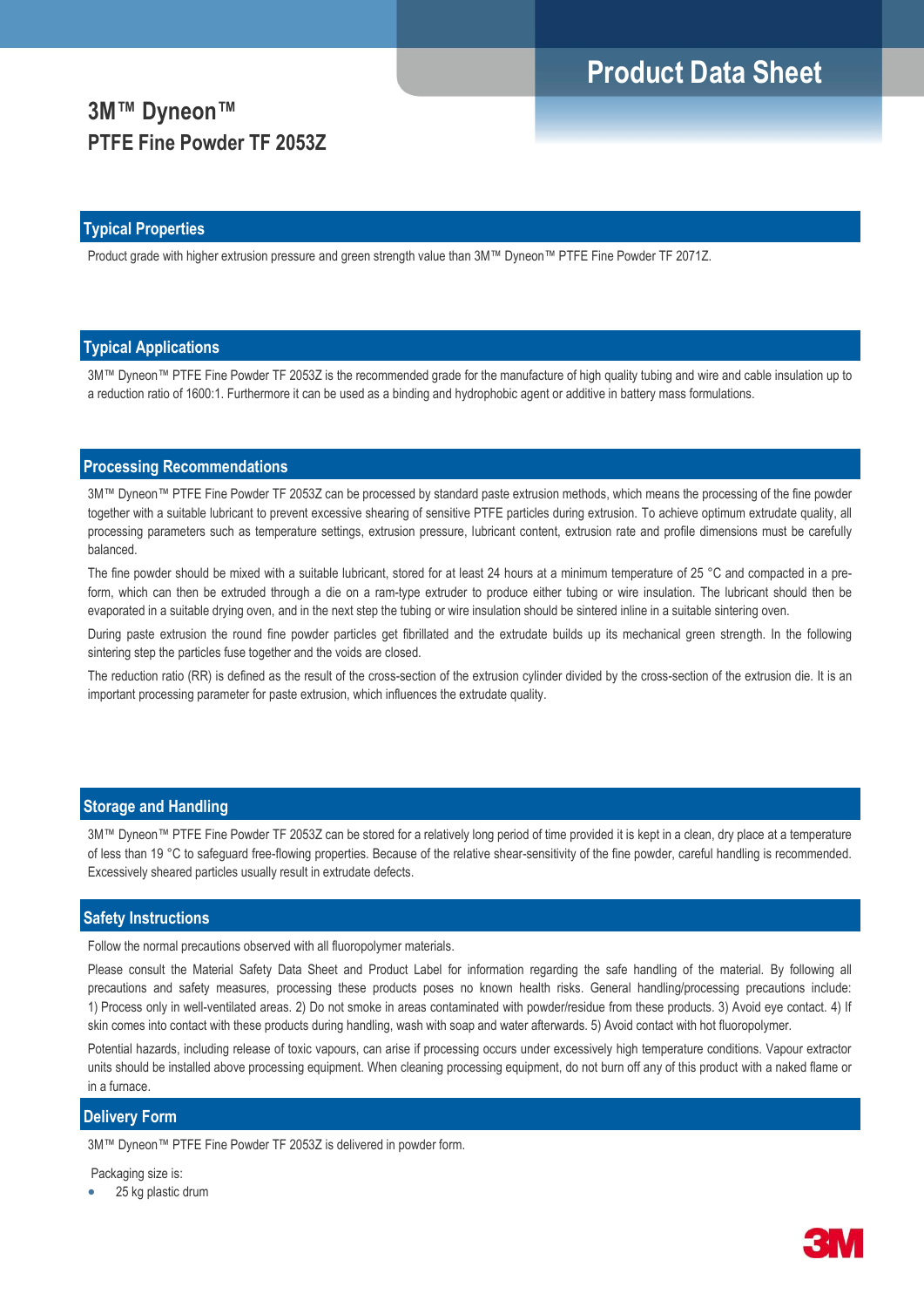# **Product Data Sheet**

## **3M™ Dyneon™ PTFE Fine Powder TF 2053Z**

#### **Typical Properties**

Product grade with higher extrusion pressure and green strength value than 3M™ Dyneon™ PTFE Fine Powder TF 2071Z.

#### **Typical Applications**

3M™ Dyneon™ PTFE Fine Powder TF 2053Z is the recommended grade for the manufacture of high quality tubing and wire and cable insulation up to a reduction ratio of 1600:1. Furthermore it can be used as a binding and hydrophobic agent or additive in battery mass formulations.

#### **Processing Recommendations**

3M™ Dyneon™ PTFE Fine Powder TF 2053Z can be processed by standard paste extrusion methods, which means the processing of the fine powder together with a suitable lubricant to prevent excessive shearing of sensitive PTFE particles during extrusion. To achieve optimum extrudate quality, all processing parameters such as temperature settings, extrusion pressure, lubricant content, extrusion rate and profile dimensions must be carefully balanced.

The fine powder should be mixed with a suitable lubricant, stored for at least 24 hours at a minimum temperature of 25 °C and compacted in a preform, which can then be extruded through a die on a ram-type extruder to produce either tubing or wire insulation. The lubricant should then be evaporated in a suitable drying oven, and in the next step the tubing or wire insulation should be sintered inline in a suitable sintering oven.

During paste extrusion the round fine powder particles get fibrillated and the extrudate builds up its mechanical green strength. In the following sintering step the particles fuse together and the voids are closed.

The reduction ratio (RR) is defined as the result of the cross-section of the extrusion cylinder divided by the cross-section of the extrusion die. It is an important processing parameter for paste extrusion, which influences the extrudate quality.

#### **Storage and Handling**

3M™ Dyneon™ PTFE Fine Powder TF 2053Z can be stored for a relatively long period of time provided it is kept in a clean, dry place at a temperature of less than 19 °C to safeguard free-flowing properties. Because of the relative shear-sensitivity of the fine powder, careful handling is recommended. Excessively sheared particles usually result in extrudate defects.

#### **Safety Instructions**

Follow the normal precautions observed with all fluoropolymer materials.

Please consult the Material Safety Data Sheet and Product Label for information regarding the safe handling of the material. By following all precautions and safety measures, processing these products poses no known health risks. General handling/processing precautions include: 1) Process only in well-ventilated areas. 2) Do not smoke in areas contaminated with powder/residue from these products. 3) Avoid eye contact. 4) If skin comes into contact with these products during handling, wash with soap and water afterwards. 5) Avoid contact with hot fluoropolymer.

Potential hazards, including release of toxic vapours, can arise if processing occurs under excessively high temperature conditions. Vapour extractor units should be installed above processing equipment. When cleaning processing equipment, do not burn off any of this product with a naked flame or in a furnace.

#### **Delivery Form**

3M™ Dyneon™ PTFE Fine Powder TF 2053Z is delivered in powder form.

#### Packaging size is:

25 kg plastic drum